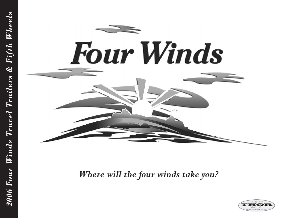

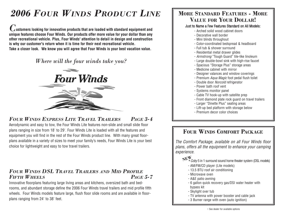# *2006 FOUR WINDS PRODUCT LINE*

*C***ustomers looking for innovative products that are loaded with standard equipment and unique features choose Four Winds. Our products offer more value for your dollar than any other recreational vehicle. Plus, Four Winds' attention to detail in design and construction is why our customer's return when it is time for their next recreational vehicle. Take a closer look. We know you will agree that Four Winds is your best vacation value.**

# *Where will the four winds take you?*



# *FOUR WINDS EXPRESS LITE TRAVEL TRAILERS PAGE 3-4*

Aerodynamic and easy to tow, the Four Winds Lite features non-slide and small slide floor plans ranging in size from 18' to 29'. Four Winds Lite is loaded with all the features and equipment you will find in the rest of the Four Winds product line. With many great floorplans available in a variety of sizes to meet your family's needs, Four Winds Lite is your best choice for lightweight and easy to tow travel trailers.

### *FOUR WINDS DSL TRAVEL TRAILERS AND MID PROFILE FIFTH WHEELS PAGE 5-7*

Innovative floorplans featuring large living areas and kitchens, oversized bath and bedrooms, and abundant storage define the 2006 Four Winds travel trailers and mid profile fifth wheels. Four Winds models feature large, flush floor slide rooms and are available in floorplans ranging from 24' to 38' feet.

# **MORE STANDARD FEATURES - MORE VALUE FOR YOUR DOLLAR!**

#### Just to Name a Few Features Standard on All Models:

- Arched solid wood cabinet doors
- Decorative wall border
- Mini blinds throughout
- Color-coordinated bedspread & headboard
- Full tub & shower surround
- Residential metal drawer glides
- Armstrong "Tough Guard" tile-like linoleum
- Large double-bowl sink with high-rise faucet
- Spacious "Storage Plus" storage areas
- Medicine cabinet with mirror
- Designer valances and window coverings
- Premium Aqua Magic foot pedal flush toilet
- Double door Norcold refrigerator
- Power bath roof vent
- Systems monitor panel
- Cable TV hook-up with satellite prep
- Front diamond plate rock guard on travel trailers
	- Larger "Dinette Plus" seating areas
	- Lift-up bed platform with storage below
	- Premium decor color choices

# **FOUR WINDS COMFORT PACKAGE**

The Comfort Package, available on all Four Winds floor plans, offers all the equipment to enhance your camping experience.

 $\hat{\textbf{N}}^{\textbf{\text{F}}\textbf{\text{W}}}_{*}$ *Coby* 5 in 1 surround sound home theater system (DSL models)

- AM/FM/CD player (Lite models)
- 13.5 BTU roof air conditioning
- Microwave oven
- A&E patio awning
- 6 gallon quick recovery gas/DSI water heater with bypass kit
- Skylight over tub
- TV antenna with power booster and cable jack
- 3 Burner range with oven (auto ignition)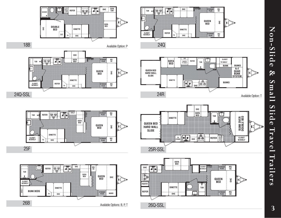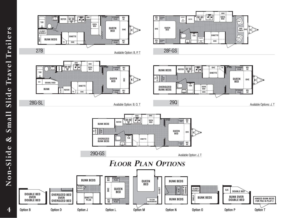**4**

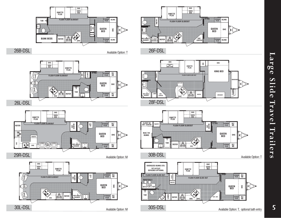

**SC/ NS**

**SC/ NS**

Available Option: T

**STORAGE PLUS**

**STORAGE PLUS**

**SC/ NS**

**OHC**

**w/DRAWERS**

**WARDROBE**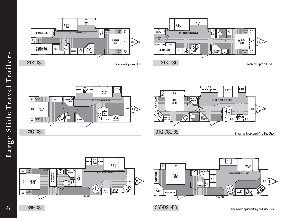





**SC/ TV**

**SC/ NS**

**OHC**

 $\Join$ 

**SC/**

**QUEEN BED**

**STORAGE PLUS**

**STORAGE PLUS**





**6**

36F-DSL-BS Shown with optional king bed slide suite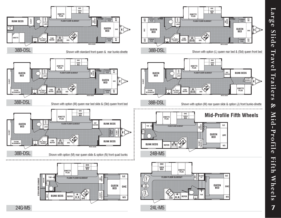